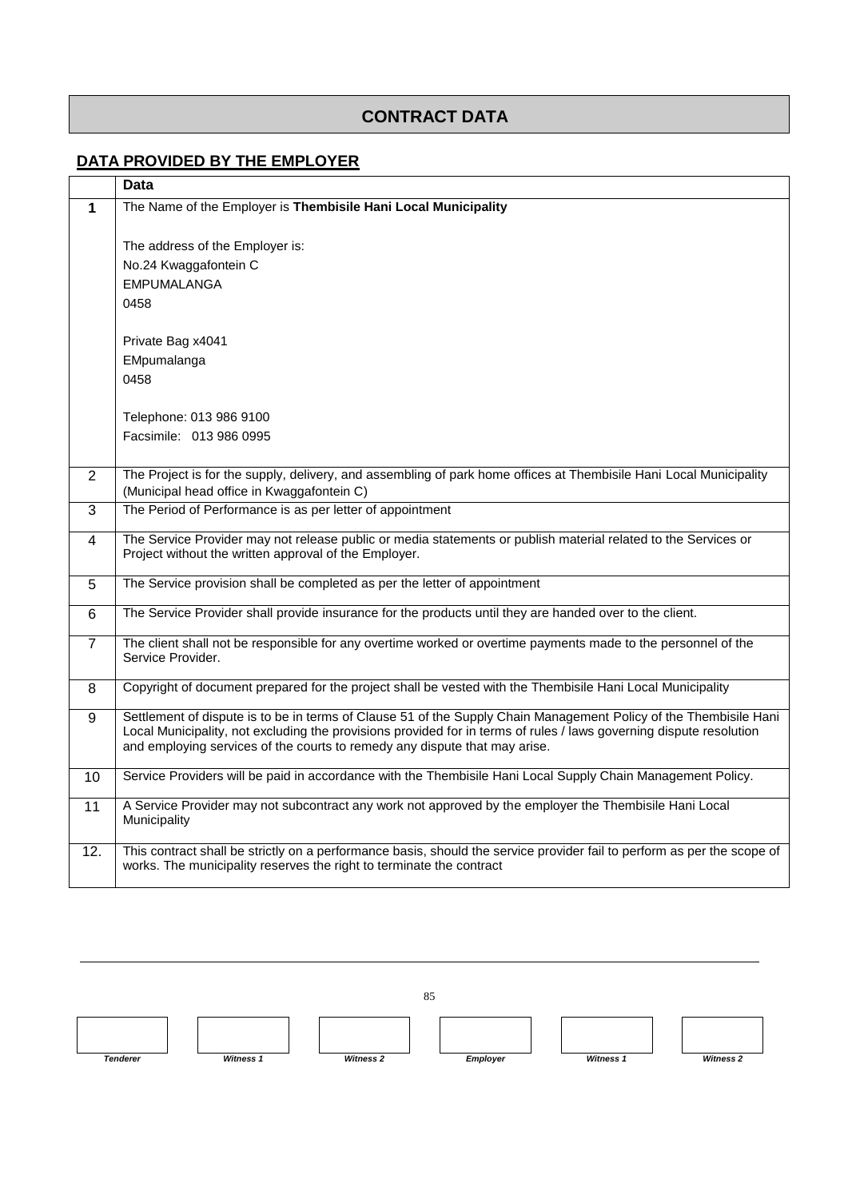## **CONTRACT DATA**

## **DATA PROVIDED BY THE EMPLOYER**

|                | <b>Data</b>                                                                                                                                                                                     |
|----------------|-------------------------------------------------------------------------------------------------------------------------------------------------------------------------------------------------|
| $\mathbf 1$    | The Name of the Employer is Thembisile Hani Local Municipality                                                                                                                                  |
|                |                                                                                                                                                                                                 |
|                | The address of the Employer is:                                                                                                                                                                 |
|                | No.24 Kwaggafontein C                                                                                                                                                                           |
|                | <b>EMPUMALANGA</b>                                                                                                                                                                              |
|                | 0458                                                                                                                                                                                            |
|                | Private Bag x4041                                                                                                                                                                               |
|                | EMpumalanga                                                                                                                                                                                     |
|                | 0458                                                                                                                                                                                            |
|                |                                                                                                                                                                                                 |
|                | Telephone: 013 986 9100                                                                                                                                                                         |
|                | Facsimile: 013 986 0995                                                                                                                                                                         |
|                |                                                                                                                                                                                                 |
| 2              | The Project is for the supply, delivery, and assembling of park home offices at Thembisile Hani Local Municipality                                                                              |
|                | (Municipal head office in Kwaggafontein C)                                                                                                                                                      |
| 3              | The Period of Performance is as per letter of appointment                                                                                                                                       |
| 4              | The Service Provider may not release public or media statements or publish material related to the Services or                                                                                  |
|                | Project without the written approval of the Employer.                                                                                                                                           |
| 5              | The Service provision shall be completed as per the letter of appointment                                                                                                                       |
| 6              | The Service Provider shall provide insurance for the products until they are handed over to the client.                                                                                         |
|                |                                                                                                                                                                                                 |
| $\overline{7}$ | The client shall not be responsible for any overtime worked or overtime payments made to the personnel of the                                                                                   |
|                | Service Provider.                                                                                                                                                                               |
| 8              | Copyright of document prepared for the project shall be vested with the Thembisile Hani Local Municipality                                                                                      |
| 9              | Settlement of dispute is to be in terms of Clause 51 of the Supply Chain Management Policy of the Thembisile Hani                                                                               |
|                | Local Municipality, not excluding the provisions provided for in terms of rules / laws governing dispute resolution                                                                             |
|                | and employing services of the courts to remedy any dispute that may arise.                                                                                                                      |
| 10             | Service Providers will be paid in accordance with the Thembisile Hani Local Supply Chain Management Policy.                                                                                     |
|                |                                                                                                                                                                                                 |
| 11             | A Service Provider may not subcontract any work not approved by the employer the Thembisile Hani Local<br>Municipality                                                                          |
|                |                                                                                                                                                                                                 |
| 12.            | This contract shall be strictly on a performance basis, should the service provider fail to perform as per the scope of<br>works. The municipality reserves the right to terminate the contract |
|                |                                                                                                                                                                                                 |
|                |                                                                                                                                                                                                 |

85